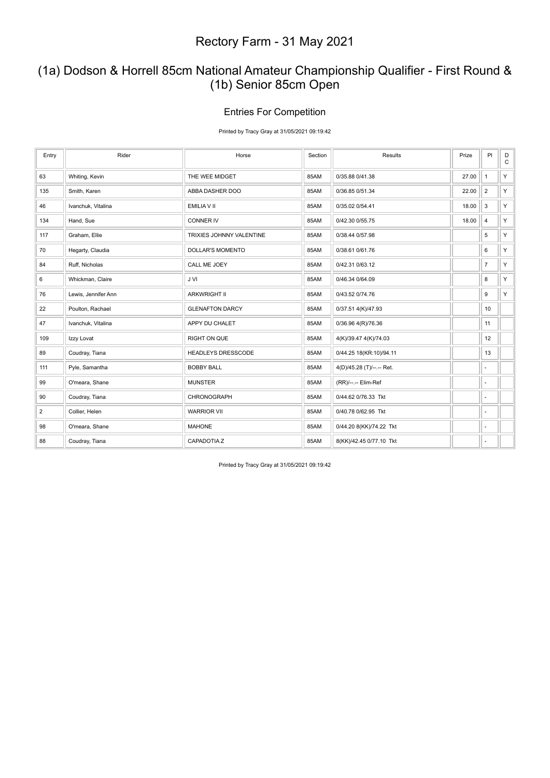## (1a) Dodson & Horrell 85cm National Amateur Championship Qualifier - First Round & (1b) Senior 85cm Open

#### Entries For Competition

Printed by Tracy Gray at 31/05/2021 09:19:42

| Entry          | Rider               | Horse                     | Section | Results                   | Prize | PI                       | D<br>$\mathtt{C}$ |
|----------------|---------------------|---------------------------|---------|---------------------------|-------|--------------------------|-------------------|
| 63             | Whiting, Kevin      | THE WEE MIDGET            | 85AM    | 0/35.88 0/41.38           | 27.00 | $\mathbf{1}$             | Y.                |
| 135            | Smith, Karen        | ABBA DASHER DOO           | 85AM    | 0/36.85 0/51.34           | 22.00 | $\overline{2}$           | Y.                |
| 46             | Ivanchuk, Vitalina  | EMILIA V II               | 85AM    | 0/35.02 0/54.41           | 18.00 | 3                        | Y.                |
| 134            | Hand, Sue           | <b>CONNER IV</b>          | 85AM    | 0/42.30 0/55.75           | 18.00 | 4                        | Y.                |
| 117            | Graham, Ellie       | TRIXIES JOHNNY VALENTINE  | 85AM    | 0/38.44 0/57.98           |       | 5                        | Y.                |
| 70             | Hegarty, Claudia    | <b>DOLLAR'S MOMENTO</b>   | 85AM    | 0/38.61 0/61.76           |       | 6                        | Y.                |
| 84             | Ruff, Nicholas      | CALL ME JOEY              | 85AM    | 0/42.31 0/63.12           |       | $\overline{7}$           | Y.                |
| 6              | Whickman, Claire    | J VI                      | 85AM    | 0/46.34 0/64.09           |       | 8                        | Y.                |
| 76             | Lewis, Jennifer Ann | <b>ARKWRIGHT II</b>       | 85AM    | 0/43.52 0/74.76           |       | 9                        | Y.                |
| 22             | Poulton, Rachael    | <b>GLENAFTON DARCY</b>    | 85AM    | 0/37.51 4(K)/47.93        |       | 10                       |                   |
| 47             | Ivanchuk, Vitalina  | APPY DU CHALET            | 85AM    | 0/36.96 4(R)/76.36        |       | 11                       |                   |
| 109            | Izzy Lovat          | RIGHT ON QUE              | 85AM    | 4(K)/39.47 4(K)/74.03     |       | 12                       |                   |
| 89             | Coudray, Tiana      | <b>HEADLEYS DRESSCODE</b> | 85AM    | 0/44.25 18(KR:10)/94.11   |       | 13                       |                   |
| 111            | Pyle, Samantha      | <b>BOBBY BALL</b>         | 85AM    | 4(D)/45.28 (T)/--.-- Ret. |       | $\overline{\phantom{a}}$ |                   |
| 99             | O'meara, Shane      | <b>MUNSTER</b>            | 85AM    | (RR)/--.-- Elim-Ref       |       | ä,                       |                   |
| 90             | Coudray, Tiana      | CHRONOGRAPH               | 85AM    | 0/44.62 0/76.33 Tkt       |       | $\overline{\phantom{a}}$ |                   |
| $\overline{2}$ | Collier, Helen      | <b>WARRIOR VII</b>        | 85AM    | 0/40.78 0/62.95 Tkt       |       | $\overline{\phantom{a}}$ |                   |
| 98             | O'meara, Shane      | <b>MAHONE</b>             | 85AM    | 0/44.20 8(KK)/74.22 Tkt   |       | ٠                        |                   |
| 88             | Coudray, Tiana      | CAPADOTIA Z               | 85AM    | 8(KK)/42.45 0/77.10 Tkt   |       | $\sim$                   |                   |

Printed by Tracy Gray at 31/05/2021 09:19:42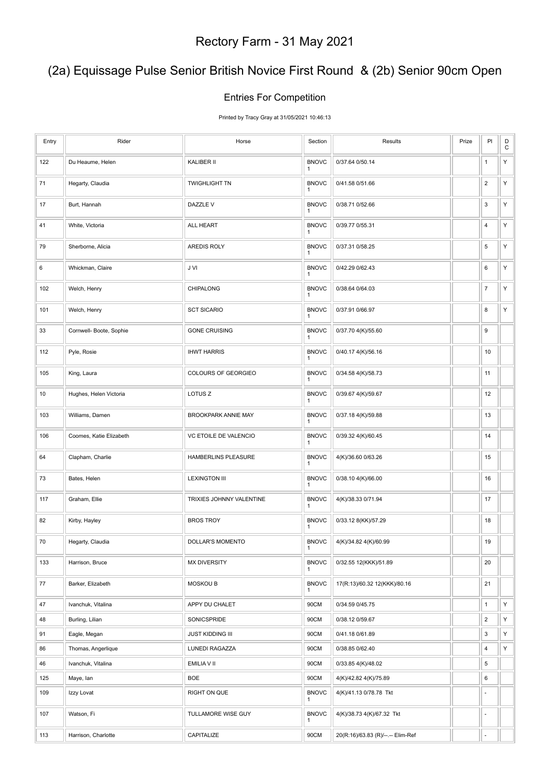# (2a) Equissage Pulse Senior British Novice First Round & (2b) Senior 90cm Open

#### Entries For Competition

Printed by Tracy Gray at 31/05/2021 10:46:13

| Entry | Rider                   | Horse                      | Section                      | Results                           | Prize | PI                        | D<br>${\bf C}$ |
|-------|-------------------------|----------------------------|------------------------------|-----------------------------------|-------|---------------------------|----------------|
| 122   | Du Heaume, Helen        | KALIBER II                 | <b>BNOVC</b><br>$\mathbf{1}$ | 0/37.64 0/50.14                   |       | $\mathbf{1}$              | Y              |
| 71    | Hegarty, Claudia        | <b>TWIGHLIGHT TN</b>       | <b>BNOVC</b><br>$\mathbf{1}$ | 0/41.58 0/51.66                   |       | $\overline{2}$            | Υ              |
| 17    | Burt, Hannah            | DAZZLE V                   | <b>BNOVC</b><br>1            | 0/38.71 0/52.66                   |       | 3                         | Υ              |
| 41    | White, Victoria         | ALL HEART                  | <b>BNOVC</b>                 | 0/39.77 0/55.31                   |       | $\overline{\mathbf{4}}$   | Υ              |
| 79    | Sherborne, Alicia       | AREDIS ROLY                | <b>BNOVC</b>                 | 0/37.31 0/58.25                   |       | 5                         | Υ              |
| 6     | Whickman, Claire        | J VI                       | <b>BNOVC</b>                 | 0/42.29 0/62.43                   |       | 6                         | Y              |
| 102   | Welch, Henry            | CHIPALONG                  | <b>BNOVC</b><br>1            | 0/38.64 0/64.03                   |       | $\boldsymbol{7}$          | Υ              |
| 101   | Welch, Henry            | <b>SCT SICARIO</b>         | <b>BNOVC</b><br>1            | 0/37.91 0/66.97                   |       | 8                         | Υ              |
| 33    | Cornwell- Boote, Sophie | <b>GONE CRUISING</b>       | <b>BNOVC</b>                 | 0/37.70 4(K)/55.60                |       | 9                         |                |
| 112   | Pyle, Rosie             | <b>IHWT HARRIS</b>         | <b>BNOVC</b><br>1            | 0/40.17 4(K)/56.16                |       | 10                        |                |
| 105   | King, Laura             | COLOURS OF GEORGIEO        | <b>BNOVC</b><br>$\mathbf{1}$ | 0/34.58 4(K)/58.73                |       | 11                        |                |
| 10    | Hughes, Helen Victoria  | LOTUS <sub>Z</sub>         | <b>BNOVC</b><br>$\mathbf{1}$ | 0/39.67 4(K)/59.67                |       | 12                        |                |
| 103   | Williams, Damen         | <b>BROOKPARK ANNIE MAY</b> | <b>BNOVC</b><br>1            | 0/37.18 4(K)/59.88                |       | 13                        |                |
| 106   | Coomes, Katie Elizabeth | VC ETOILE DE VALENCIO      | <b>BNOVC</b><br>1            | 0/39.32 4(K)/60.45                |       | 14                        |                |
| 64    | Clapham, Charlie        | HAMBERLINS PLEASURE        | <b>BNOVC</b><br>1            | 4(K)/36.60 0/63.26                |       | 15                        |                |
| 73    | Bates, Helen            | <b>LEXINGTON III</b>       | <b>BNOVC</b><br>1            | 0/38.10 4(K)/66.00                |       | 16                        |                |
| 117   | Graham, Ellie           | TRIXIES JOHNNY VALENTINE   | <b>BNOVC</b><br>1            | 4(K)/38.33 0/71.94                |       | 17                        |                |
| 82    | Kirby, Hayley           | <b>BROS TROY</b>           | <b>BNOVC</b><br>1            | 0/33.12 8(KK)/57.29               |       | 18                        |                |
| 70    | Hegarty, Claudia        | DOLLAR'S MOMENTO           | <b>BNOVC</b><br>J.           | 4(K)/34.82 4(K)/60.99             |       | 19                        |                |
| 133   | Harrison, Bruce         | <b>MX DIVERSITY</b>        | <b>BNOVC</b>                 | 0/32.55 12(KKK)/51.89             |       | 20                        |                |
| 77    | Barker, Elizabeth       | <b>MOSKOU B</b>            | <b>BNOVC</b><br>$\mathbf{1}$ | 17(R:13)/60.32 12(KKK)/80.16      |       | 21                        |                |
| 47    | Ivanchuk, Vitalina      | APPY DU CHALET             | 90CM                         | 0/34.59 0/45.75                   |       | $\mathbf{1}$              | Υ              |
| 48    | Burling, Lilian         | SONICSPRIDE                | 90CM                         | 0/38.12 0/59.67                   |       | $\mathbf 2$               | Y              |
| 91    | Eagle, Megan            | <b>JUST KIDDING III</b>    | 90CM                         | 0/41.18 0/61.89                   |       | $\ensuremath{\mathsf{3}}$ | Y              |
| 86    | Thomas, Angerlique      | LUNEDI RAGAZZA             | 90CM                         | 0/38.85 0/62.40                   |       | $\overline{\mathbf{4}}$   | Y              |
| 46    | Ivanchuk, Vitalina      | EMILIA V II                | 90CM                         | 0/33.85 4(K)/48.02                |       | $\,$ 5 $\,$               |                |
| 125   | Maye, lan               | <b>BOE</b>                 | 90CM                         | 4(K)/42.82 4(K)/75.89             |       | 6                         |                |
| 109   | Izzy Lovat              | RIGHT ON QUE               | <b>BNOVC</b><br>$\mathbf{1}$ | 4(K)/41.13 0/78.78 Tkt            |       | ÷,                        |                |
| 107   | Watson, Fi              | TULLAMORE WISE GUY         | <b>BNOVC</b><br>1            | 4(K)/38.73 4(K)/67.32 Tkt         |       | ٠                         |                |
| 113   | Harrison, Charlotte     | CAPITALIZE                 | 90CM                         | 20(R:16)/63.83 (R)/--.-- Elim-Ref |       |                           |                |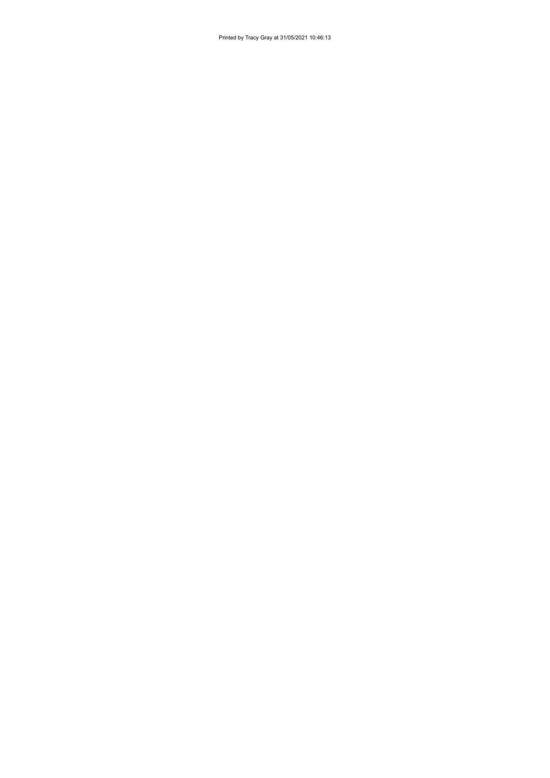Printed by Tracy Gray at 31/05/2021 10:46:13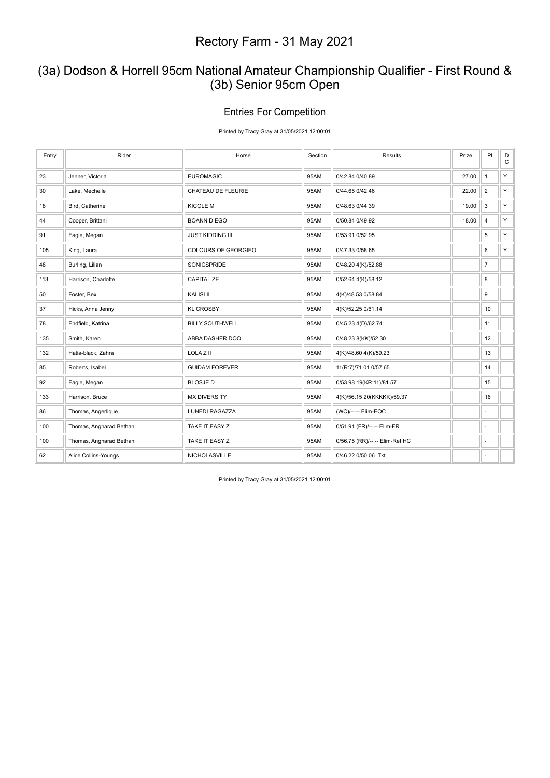## (3a) Dodson & Horrell 95cm National Amateur Championship Qualifier - First Round & (3b) Senior 95cm Open

#### Entries For Competition

Printed by Tracy Gray at 31/05/2021 12:00:01

| Entry | Rider                   | Horse                   | Section | Results                        | Prize | PI                       | $_{\rm C}^{\rm D}$ |
|-------|-------------------------|-------------------------|---------|--------------------------------|-------|--------------------------|--------------------|
| 23    | Jenner, Victoria        | <b>EUROMAGIC</b>        | 95AM    | 0/42.84 0/40.89                | 27.00 | $\overline{1}$           | Y                  |
| 30    | Lake, Mechelle          | CHATEAU DE FLEURIE      | 95AM    | 0/44.65 0/42.46                | 22.00 | $\overline{2}$           | Y                  |
| 18    | Bird, Catherine         | <b>KICOLE M</b>         | 95AM    | 0/48.63 0/44.39                | 19.00 | $\mathbf{3}$             | Y                  |
| 44    | Cooper, Brittani        | <b>BOANN DIEGO</b>      | 95AM    | 0/50.84 0/49.92                | 18.00 | $\overline{4}$           | Y                  |
| 91    | Eagle, Megan            | <b>JUST KIDDING III</b> | 95AM    | 0/53.91 0/52.95                |       | 5                        | Y                  |
| 105   | King, Laura             | COLOURS OF GEORGIEO     | 95AM    | 0/47.33 0/58.65                |       | 6                        | Y.                 |
| 48    | Burling, Lilian         | SONICSPRIDE             | 95AM    | 0/48.20 4(K)/52.88             |       | $\overline{7}$           |                    |
| 113   | Harrison, Charlotte     | CAPITALIZE              | 95AM    | 0/52.64 4(K)/58.12             |       | 8                        |                    |
| 50    | Foster, Bex             | <b>KALISI II</b>        | 95AM    | 4(K)/48.53 0/58.84             |       | 9                        |                    |
| 37    | Hicks, Anna Jenny       | <b>KL CROSBY</b>        | 95AM    | 4(K)/52.25 0/61.14             |       | 10                       |                    |
| 78    | Endfield, Katrina       | <b>BILLY SOUTHWELL</b>  | 95AM    | 0/45.23 4(D)/62.74             |       | 11                       |                    |
| 135   | Smith, Karen            | ABBA DASHER DOO         | 95AM    | 0/48.23 8(KK)/52.30            |       | 12                       |                    |
| 132   | Hatia-black, Zahra      | LOLA Z II               | 95AM    | 4(K)/48.60 4(K)/59.23          |       | 13                       |                    |
| 85    | Roberts, Isabel         | <b>GUIDAM FOREVER</b>   | 95AM    | 11(R:7)/71.01 0/57.65          |       | 14                       |                    |
| 92    | Eagle, Megan            | <b>BLOSJED</b>          | 95AM    | 0/53.98 19(KR:11)/81.57        |       | 15                       |                    |
| 133   | Harrison, Bruce         | <b>MX DIVERSITY</b>     | 95AM    | 4(K)/56.15 20(KKKKK)/59.37     |       | 16                       |                    |
| 86    | Thomas, Angerlique      | <b>LUNEDI RAGAZZA</b>   | 95AM    | (WC)/--.-- Elim-EOC            |       | $\overline{\phantom{m}}$ |                    |
| 100   | Thomas, Angharad Bethan | TAKE IT EASY Z          | 95AM    | 0/51.91 (FR)/--.-- Elim-FR     |       | $\overline{\phantom{a}}$ |                    |
| 100   | Thomas, Angharad Bethan | TAKE IT EASY Z          | 95AM    | 0/56.75 (RR)/--.-- Elim-Ref HC |       | ۰                        |                    |
| 62    | Alice Collins-Youngs    | NICHOLASVILLE           | 95AM    | 0/46.22 0/50.06 Tkt            |       | ä,                       |                    |

Printed by Tracy Gray at 31/05/2021 12:00:01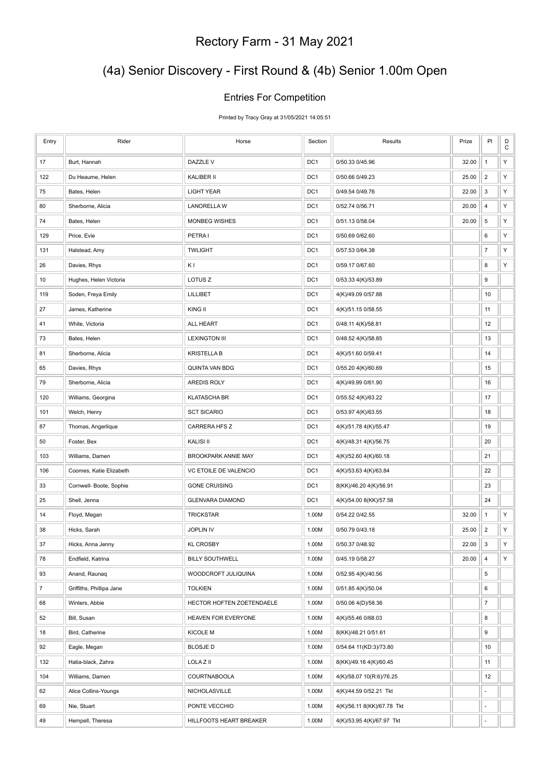# (4a) Senior Discovery - First Round & (4b) Senior 1.00m Open

#### Entries For Competition

Printed by Tracy Gray at 31/05/2021 14:05:51

| Entry          | Rider                    | Horse                     | Section         | Results                    | Prize | PI               | D<br>C |
|----------------|--------------------------|---------------------------|-----------------|----------------------------|-------|------------------|--------|
| 17             | Burt, Hannah             | DAZZLE V                  | DC1             | 0/50.33 0/45.96            | 32.00 | $\mathbf{1}$     | Υ      |
| 122            | Du Heaume, Helen         | KALIBER II                | DC1             | 0/50.66 0/49.23            | 25.00 | $\overline{2}$   | Y      |
| 75             | Bates, Helen             | <b>LIGHT YEAR</b>         | DC1             | 0/49.54 0/49.76            | 22.00 | 3                | Υ      |
| 80             | Sherborne, Alicia        | <b>LANORELLA W</b>        | DC <sub>1</sub> | 0/52.74 0/56.71            | 20.00 | 4                | Y      |
| 74             | Bates, Helen             | <b>MONBEG WISHES</b>      | DC1             | 0/51.13 0/58.04            | 20.00 | 5                | Υ      |
| 129            | Price, Evie              | PETRA1                    | DC <sub>1</sub> | 0/50.69 0/62.60            |       | 6                | Υ      |
| 131            | Halstead, Amy            | <b>TWLIGHT</b>            | DC1             | 0/57.53 0/64.38            |       | $\boldsymbol{7}$ | Υ      |
| 26             | Davies, Rhys             | ΚI                        | DC <sub>1</sub> | 0/59.17 0/67.60            |       | 8                | Υ      |
| 10             | Hughes, Helen Victoria   | LOTUS <sub>Z</sub>        | DC <sub>1</sub> | 0/53.33 4(K)/53.89         |       | 9                |        |
| 119            | Soden, Freya Emily       | LILLIBET                  | DC1             | 4(K)/49.09 0/57.88         |       | 10               |        |
| 27             | James, Katherine         | KING II                   | DC <sub>1</sub> | 4(K)/51.15 0/58.55         |       | 11               |        |
| 41             | White, Victoria          | ALL HEART                 | DC1             | 0/48.11 4(K)/58.81         |       | 12               |        |
| 73             | Bates, Helen             | <b>LEXINGTON III</b>      | DC1             | 0/48.52 4(K)/58.85         |       | 13               |        |
| 81             | Sherborne, Alicia        | <b>KRISTELLA B</b>        | DC <sub>1</sub> | 4(K)/51.60 0/59.41         |       | 14               |        |
| 65             | Davies, Rhys             | QUINTA VAN BDG            | DC1             | 0/55.20 4(K)/60.69         |       | 15               |        |
| 79             | Sherborne, Alicia        | AREDIS ROLY               | DC <sub>1</sub> | 4(K)/49.99 0/61.90         |       | 16               |        |
| 120            | Williams, Georgina       | <b>KLATASCHA BR</b>       | DC1             | 0/55.52 4(K)/63.22         |       | 17               |        |
| 101            | Welch, Henry             | <b>SCT SICARIO</b>        | DC1             | 0/53.97 4(K)/63.55         |       | 18               |        |
| 87             | Thomas, Angerlique       | <b>CARRERA HFS Z</b>      | DC1             | 4(K)/51.78 4(K)/55.47      |       | 19               |        |
| 50             | Foster, Bex              | <b>KALISI II</b>          | DC1             | 4(K)/48.31 4(K)/56.75      |       | 20               |        |
| 103            | Williams, Damen          | BROOKPARK ANNIE MAY       | DC <sub>1</sub> | 4(K)/52.60 4(K)/60.18      |       | 21               |        |
| 106            | Coomes, Katie Elizabeth  | VC ETOILE DE VALENCIO     | DC1             | 4(K)/53.63 4(K)/63.84      |       | 22               |        |
| 33             | Cornwell- Boote, Sophie  | <b>GONE CRUISING</b>      | DC1             | 8(KK)/46.20 4(K)/56.91     |       | 23               |        |
| 25             | Shell, Jenna             | <b>GLENVARA DIAMOND</b>   | DC <sub>1</sub> | 4(K)/54.00 8(KK)/57.58     |       | 24               |        |
| 14             | Floyd, Megan             | <b>TRICKSTAR</b>          | 1.00M           | 0/54.22 0/42.55            | 32.00 | $\mathbf{1}$     | Y      |
| 38             | Hicks, Sarah             | <b>JOPLIN IV</b>          | 1.00M           | 0/50.79 0/43.18            | 25.00 | $\overline{c}$   | Υ      |
| 37             | Hicks, Anna Jenny        | <b>KL CROSBY</b>          | 1.00M           | 0/50.37 0/48.92            | 22.00 | 3                | Υ      |
| 78             | Endfield, Katrina        | <b>BILLY SOUTHWELL</b>    | 1.00M           | 0/45.19 0/58.27            | 20.00 | $\overline{4}$   | Y      |
| 93             | Anand, Raunaq            | WOODCROFT JULIQUINA       | 1.00M           | 0/52.95 4(K)/40.56         |       | 5                |        |
| $\overline{7}$ | Griffiths, Phillipa Jane | <b>TOLKIEN</b>            | 1.00M           | 0/51.85 4(K)/50.04         |       | 6                |        |
| 68             | Winters, Abbie           | HECTOR HOFTEN ZOETENDAELE | 1.00M           | 0/50.06 4(D)/58.36         |       | $\overline{7}$   |        |
| 52             | Bill, Susan              | HEAVEN FOR EVERYONE       | 1.00M           | 4(K)/55.46 0/68.03         |       | 8                |        |
| 18             | Bird, Catherine          | <b>KICOLE M</b>           | 1.00M           | 8(KK)/48.21 0/51.61        |       | 9                |        |
| 92             | Eagle, Megan             | <b>BLOSJED</b>            | 1.00M           | 0/54.64 11(KD:3)/73.80     |       | 10               |        |
| 132            | Hatia-black, Zahra       | LOLA Z II                 | 1.00M           | 8(KK)/49.16 4(K)/60.45     |       | 11               |        |
| 104            | Williams, Damen          | <b>COURTNABOOLA</b>       | 1.00M           | 4(K)/58.07 10(R:6)/76.25   |       | 12               |        |
| 62             | Alice Collins-Youngs     | NICHOLASVILLE             | 1.00M           | 4(K)/44.59 0/52.21 Tkt     |       | ä,               |        |
| 69             | Nie, Stuart              | PONTE VECCHIO             | 1.00M           | 4(K)/56.11 8(KK)/67.78 Tkt |       | ÷                |        |
| 49             | Hempell, Theresa         | HILLFOOTS HEART BREAKER   | 1.00M           | 4(K)/53.95 4(K)/67.97 Tkt  |       |                  |        |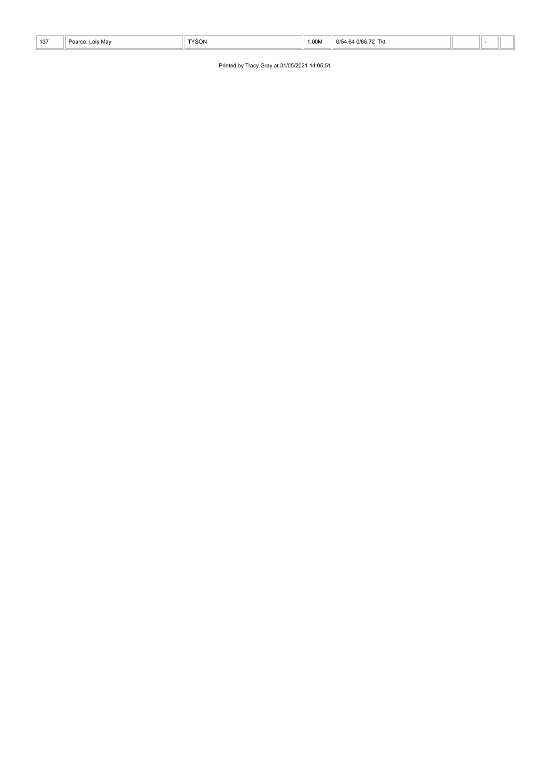| 137 | 120<br>--- | venn- | .00M | 0/5<br>0/66<br>.<br>1 N. |  |  |
|-----|------------|-------|------|--------------------------|--|--|

Printed by Tracy Gray at 31/05/2021 14:05:51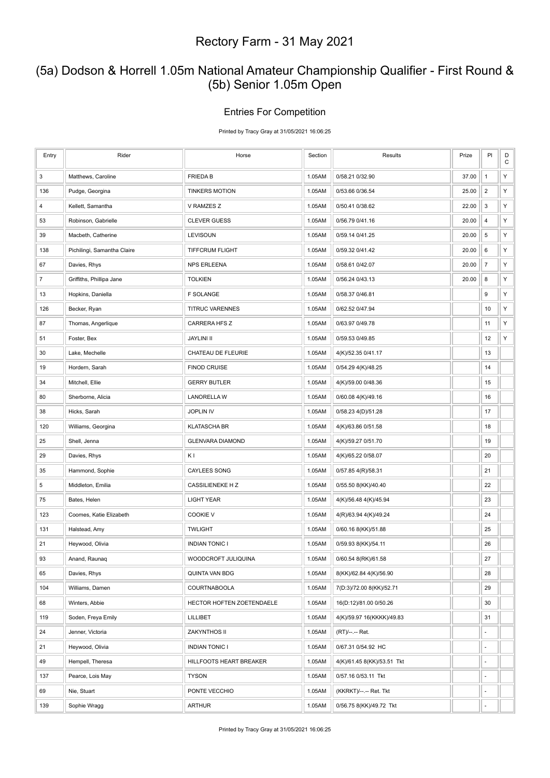## (5a) Dodson & Horrell 1.05m National Amateur Championship Qualifier - First Round & (5b) Senior 1.05m Open

#### Entries For Competition

Printed by Tracy Gray at 31/05/2021 16:06:25

| Entry          | Rider                       | Horse                     | Section | Results                    | Prize | PI             | D<br>$\mathbf C$ |
|----------------|-----------------------------|---------------------------|---------|----------------------------|-------|----------------|------------------|
| 3              | Matthews, Caroline          | <b>FRIEDAB</b>            | 1.05AM  | 0/58.21 0/32.90            | 37.00 | $\mathbf{1}$   | Y                |
| 136            | Pudge, Georgina             | <b>TINKERS MOTION</b>     | 1.05AM  | 0/53.66 0/36.54            | 25.00 | $\overline{2}$ | Υ                |
| 4              | Kellett, Samantha           | V RAMZES Z                | 1.05AM  | 0/50.41 0/38.62            | 22.00 | 3              | Υ                |
| 53             | Robinson, Gabrielle         | <b>CLEVER GUESS</b>       | 1.05AM  | 0/56.79 0/41.16            | 20.00 | 4              | Υ                |
| 39             | Macbeth, Catherine          | <b>LEVISOUN</b>           | 1.05AM  | 0/59.14 0/41.25            | 20.00 | 5              | Υ                |
| 138            | Pichilingi, Samantha Claire | <b>TIFFCRUM FLIGHT</b>    | 1.05AM  | 0/59.32 0/41.42            | 20.00 | 6              | Υ                |
| 67             | Davies, Rhys                | <b>NPS ERLEENA</b>        | 1.05AM  | 0/58.61 0/42.07            | 20.00 | $\overline{7}$ | Υ                |
| $\overline{7}$ | Griffiths, Phillipa Jane    | <b>TOLKIEN</b>            | 1.05AM  | 0/56.24 0/43.13            | 20.00 | 8              | Υ                |
| 13             | Hopkins, Daniella           | <b>F SOLANGE</b>          | 1.05AM  | 0/58.37 0/46.81            |       | 9              | Υ                |
| 126            | Becker, Ryan                | <b>TITRUC VARENNES</b>    | 1.05AM  | 0/62.52 0/47.94            |       | 10             | Υ                |
| 87             | Thomas, Angerlique          | CARRERA HFS Z             | 1.05AM  | 0/63.97 0/49.78            |       | 11             | Υ                |
| 51             | Foster, Bex                 | <b>JAYLINI II</b>         | 1.05AM  | 0/59.53 0/49.85            |       | 12             | Υ                |
| 30             | Lake, Mechelle              | CHATEAU DE FLEURIE        | 1.05AM  | 4(K)/52.35 0/41.17         |       | 13             |                  |
| 19             | Hordern, Sarah              | <b>FINOD CRUISE</b>       | 1.05AM  | 0/54.29 4(K)/48.25         |       | 14             |                  |
| 34             | Mitchell, Ellie             | <b>GERRY BUTLER</b>       | 1.05AM  | 4(K)/59.00 0/48.36         |       | 15             |                  |
| 80             | Sherborne, Alicia           | <b>LANORELLA W</b>        | 1.05AM  | 0/60.08 4(K)/49.16         |       | 16             |                  |
| 38             | Hicks, Sarah                | <b>JOPLIN IV</b>          | 1.05AM  | 0/58.23 4(D)/51.28         |       | 17             |                  |
| 120            | Williams, Georgina          | <b>KLATASCHA BR</b>       | 1.05AM  | 4(K)/63.86 0/51.58         |       | 18             |                  |
| 25             | Shell, Jenna                | <b>GLENVARA DIAMOND</b>   | 1.05AM  | 4(K)/59.27 0/51.70         |       | 19             |                  |
| 29             | Davies, Rhys                | ΚI                        | 1.05AM  | 4(K)/65.22 0/58.07         |       | 20             |                  |
| 35             | Hammond, Sophie             | CAYLEES SONG              | 1.05AM  | 0/57.85 4(R)/58.31         |       | 21             |                  |
| 5              | Middleton, Emilia           | <b>CASSILIENEKE HZ</b>    | 1.05AM  | 0/55.50 8(KK)/40.40        |       | 22             |                  |
| 75             | Bates, Helen                | <b>LIGHT YEAR</b>         | 1.05AM  | 4(K)/56.48 4(K)/45.94      |       | 23             |                  |
| 123            | Coomes, Katie Elizabeth     | <b>COOKIE V</b>           | 1.05AM  | 4(R)/63.94 4(K)/49.24      |       | 24             |                  |
| 131            | Halstead, Amy               | <b>TWLIGHT</b>            | 1.05AM  | 0/60.16 8(KK)/51.88        |       | 25             |                  |
| 21             | Heywood, Olivia             | <b>INDIAN TONIC I</b>     | 1.05AM  | 0/59.93 8(KK)/54.11        |       | 26             |                  |
| 93             | Anand, Raunaq               | WOODCROFT JULIQUINA       | 1.05AM  | 0/60.54 8(RK)/61.58        |       | 27             |                  |
| 65             | Davies, Rhys                | QUINTA VAN BDG            | 1.05AM  | 8(KK)/62.84 4(K)/56.90     |       | 28             |                  |
| 104            | Williams, Damen             | <b>COURTNABOOLA</b>       | 1.05AM  | 7(D:3)/72.00 8(KK)/52.71   |       | 29             |                  |
| 68             | Winters, Abbie              | HECTOR HOFTEN ZOETENDAELE | 1.05AM  | 16(D:12)/81.00 0/50.26     |       | 30             |                  |
| 119            | Soden, Freya Emily          | LILLIBET                  | 1.05AM  | 4(K)/59.97 16(KKKK)/49.83  |       | 31             |                  |
| 24             | Jenner, Victoria            | ZAKYNTHOS II              | 1.05AM  | (RT)/--.-- Ret.            |       | ÷,             |                  |
| 21             | Heywood, Olivia             | <b>INDIAN TONIC I</b>     | 1.05AM  | 0/67.31 0/54.92 HC         |       | ÷,             |                  |
| 49             | Hempell, Theresa            | HILLFOOTS HEART BREAKER   | 1.05AM  | 4(K)/61.45 8(KK)/53.51 Tkt |       | ÷              |                  |
| 137            | Pearce, Lois May            | <b>TYSON</b>              | 1.05AM  | 0/57.16 0/53.11 Tkt        |       | ÷,             |                  |
| 69             | Nie, Stuart                 | PONTE VECCHIO             | 1.05AM  | (KKRKT)/--.-- Ret. Tkt     |       |                |                  |
| 139            | Sophie Wragg                | <b>ARTHUR</b>             | 1.05AM  | 0/56.75 8(KK)/49.72 Tkt    |       |                |                  |

Printed by Tracy Gray at 31/05/2021 16:06:25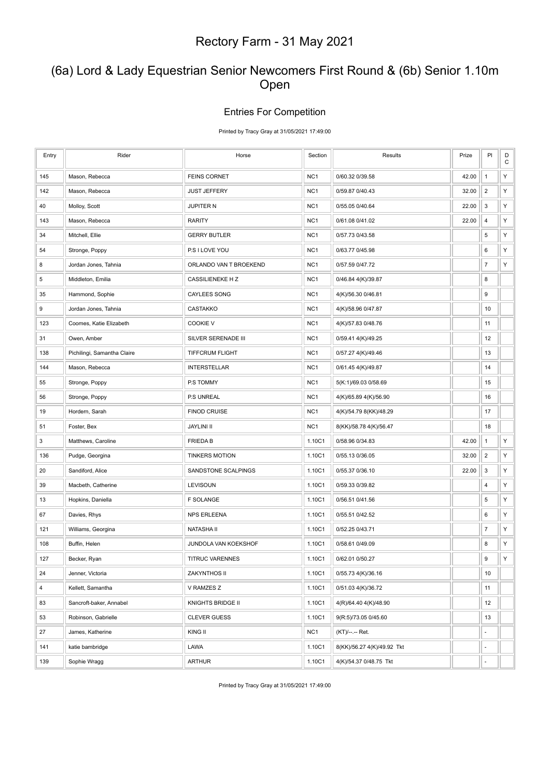## (6a) Lord & Lady Equestrian Senior Newcomers First Round & (6b) Senior 1.10m Open

#### Entries For Competition

Printed by Tracy Gray at 31/05/2021 17:49:00

| Entry | Rider                       | Horse                  | Section         | Results                    | Prize | PI               | D<br>${\bf C}$ |
|-------|-----------------------------|------------------------|-----------------|----------------------------|-------|------------------|----------------|
| 145   | Mason, Rebecca              | <b>FEINS CORNET</b>    | NC <sub>1</sub> | 0/60.32 0/39.58            | 42.00 | $\mathbf{1}$     | Υ              |
| 142   | Mason, Rebecca              | <b>JUST JEFFERY</b>    | NC <sub>1</sub> | 0/59.87 0/40.43            | 32.00 | $\overline{2}$   | Υ              |
| 40    | Molloy, Scott               | <b>JUPITER N</b>       | NC <sub>1</sub> | 0/55.05 0/40.64            | 22.00 | $\sqrt{3}$       | Υ              |
| 143   | Mason, Rebecca              | <b>RARITY</b>          | NC <sub>1</sub> | 0/61.08 0/41.02            | 22.00 | $\overline{4}$   | Υ              |
| 34    | Mitchell, Ellie             | <b>GERRY BUTLER</b>    | NC <sub>1</sub> | 0/57.73 0/43.58            |       | 5                | Y              |
| 54    | Stronge, Poppy              | P.S I LOVE YOU         | NC <sub>1</sub> | 0/63.77 0/45.98            |       | 6                | Υ              |
| 8     | Jordan Jones, Tahnia        | ORLANDO VAN T BROEKEND | NC <sub>1</sub> | 0/57.59 0/47.72            |       | $\boldsymbol{7}$ | Υ              |
| 5     | Middleton, Emilia           | <b>CASSILIENEKE HZ</b> | NC <sub>1</sub> | 0/46.84 4(K)/39.87         |       | 8                |                |
| 35    | Hammond, Sophie             | CAYLEES SONG           | NC <sub>1</sub> | 4(K)/56.30 0/46.81         |       | 9                |                |
| 9     | Jordan Jones, Tahnia        | CASTAKKO               | NC <sub>1</sub> | 4(K)/58.96 0/47.87         |       | 10               |                |
| 123   | Coomes, Katie Elizabeth     | <b>COOKIE V</b>        | NC <sub>1</sub> | 4(K)/57.83 0/48.76         |       | 11               |                |
| 31    | Owen, Amber                 | SILVER SERENADE III    | NC <sub>1</sub> | 0/59.41 4(K)/49.25         |       | 12               |                |
| 138   | Pichilingi, Samantha Claire | <b>TIFFCRUM FLIGHT</b> | NC <sub>1</sub> | 0/57.27 4(K)/49.46         |       | 13               |                |
| 144   | Mason, Rebecca              | <b>INTERSTELLAR</b>    | NC <sub>1</sub> | 0/61.45 4(K)/49.87         |       | 14               |                |
| 55    | Stronge, Poppy              | P.S TOMMY              | NC <sub>1</sub> | 5(K:1)/69.03 0/58.69       |       | 15               |                |
| 56    | Stronge, Poppy              | P.S UNREAL             | NC <sub>1</sub> | 4(K)/65.89 4(K)/56.90      |       | 16               |                |
| 19    | Hordern, Sarah              | <b>FINOD CRUISE</b>    | NC <sub>1</sub> | 4(K)/54.79 8(KK)/48.29     |       | 17               |                |
| 51    | Foster, Bex                 | <b>JAYLINI II</b>      | NC <sub>1</sub> | 8(KK)/58.78 4(K)/56.47     |       | 18               |                |
| 3     | Matthews, Caroline          | <b>FRIEDAB</b>         | 1.10C1          | 0/58.96 0/34.83            | 42.00 | $\mathbf{1}$     | Υ              |
| 136   | Pudge, Georgina             | <b>TINKERS MOTION</b>  | 1.10C1          | 0/55.13 0/36.05            | 32.00 | $\overline{2}$   | Υ              |
| 20    | Sandiford, Alice            | SANDSTONE SCALPINGS    | 1.10C1          | 0/55.37 0/36.10            | 22.00 | 3                | Υ              |
| 39    | Macbeth, Catherine          | LEVISOUN               | 1.10C1          | 0/59.33 0/39.82            |       | 4                | Υ              |
| 13    | Hopkins, Daniella           | F SOLANGE              | 1.10C1          | 0/56.51 0/41.56            |       | 5                | Y              |
| 67    | Davies, Rhys                | <b>NPS ERLEENA</b>     | 1.10C1          | 0/55.51 0/42.52            |       | 6                | Υ              |
| 121   | Williams, Georgina          | <b>NATASHA II</b>      | 1.10C1          | 0/52.25 0/43.71            |       | $\overline{7}$   | Y              |
| 108   | Buffin, Helen               | JUNDOLA VAN KOEKSHOF   | 1.10C1          | 0/58.61 0/49.09            |       | 8                | Υ              |
| 127   | Becker, Ryan                | <b>TITRUC VARENNES</b> | 1.10C1          | 0/62.01 0/50.27            |       | 9                | Υ              |
| 24    | Jenner, Victoria            | ZAKYNTHOS II           | 1.10C1          | 0/55.73 4(K)/36.16         |       | 10               |                |
| 4     | Kellett, Samantha           | V RAMZES Z             | 1.10C1          | 0/51.03 4(K)/36.72         |       | 11               |                |
| 83    | Sancroft-baker, Annabel     | KNIGHTS BRIDGE II      | 1.10C1          | 4(R)/64.40 4(K)/48.90      |       | 12               |                |
| 53    | Robinson, Gabrielle         | <b>CLEVER GUESS</b>    | 1.10C1          | 9(R:5)/73.05 0/45.60       |       | 13               |                |
| 27    | James, Katherine            | KING II                | NC <sub>1</sub> | (KT)/--.-- Ret.            |       | ÷,               |                |
| 141   | katie bambridge             | LAWA                   | 1.10C1          | 8(KK)/56.27 4(K)/49.92 Tkt |       | ÷,               |                |
| 139   | Sophie Wragg                | <b>ARTHUR</b>          | 1.10C1          | 4(K)/54.37 0/48.75 Tkt     |       |                  |                |

Printed by Tracy Gray at 31/05/2021 17:49:00